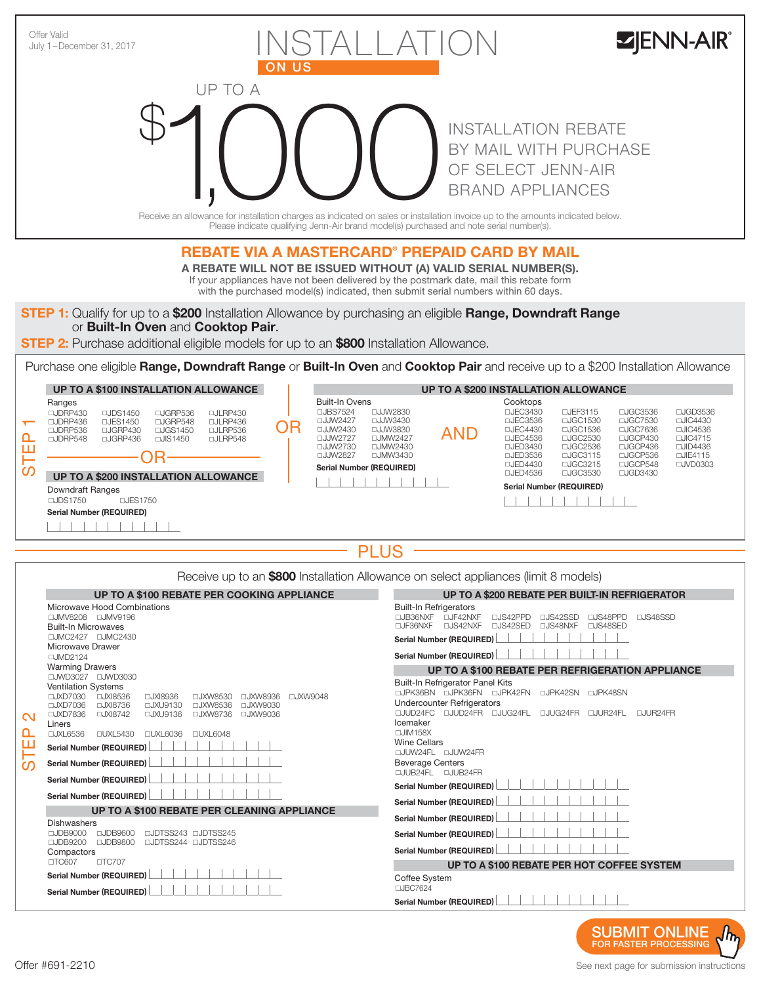

**STEP 2:** Purchase additional eligible models for up to an **\$800** Installation Allowance.

Purchase one eligible Range, Downdraft Range or Built-In Oven and Cooktop Pair and receive up to a \$200 Installation Allowance

|          | <b>UP TO A \$100 INSTALLATION ALLOWANCE</b>                                                                               |                                                                                                                |  |                                                           |                                                                          | <b>UP TO A \$200 INSTALLATION ALLOWANCE</b>                               |                                                                                                                                                                                                                    |            |                                                                |                                               |                                              |                                              |
|----------|---------------------------------------------------------------------------------------------------------------------------|----------------------------------------------------------------------------------------------------------------|--|-----------------------------------------------------------|--------------------------------------------------------------------------|---------------------------------------------------------------------------|--------------------------------------------------------------------------------------------------------------------------------------------------------------------------------------------------------------------|------------|----------------------------------------------------------------|-----------------------------------------------|----------------------------------------------|----------------------------------------------|
| $\Omega$ | Ranges<br>□JDRP430<br>$\Box$ , IDRP436<br>□JDRP536<br>$\Box$ JDRP548                                                      | $\Box$ JDS1450<br>□JGRP536<br>□JES1450<br>□JGRP548<br>□JGRP430<br>□JGS1450<br>$\Box$ JGRP436<br>$\Box$ JIS1450 |  | □JLRP430<br>□JLRP436<br>□JLRP536<br>$\Box$ , $\Box$ RP548 | OR                                                                       | <b>Built-In Ovens</b><br>□JBS7524<br>□JJW2427<br>□JJW2430<br>□, J, JW2727 | □JJW2830<br>□JJW3430<br>□JJW3830<br>□.JMW2427                                                                                                                                                                      | <b>AND</b> | Cooktops<br>$\Box$ JFC3430<br>□JEC3536<br>□JEC4430<br>□JFC4536 | 口、JFF3115<br>□JGC1530<br>□JGC1536<br>□JGC2530 | □JGC3536<br>□JGC7530<br>□JGC7636<br>□JGCP430 | □JGD3536<br>□JIC4430<br>□JIC4536<br>□JIC4715 |
| ၯ        | <b>UP TO A \$200 INSTALLATION ALLOWANCE</b><br>Downdraft Ranges<br>□JFS1750<br>$\Box$ JDS1750<br>Serial Number (REQUIRED) |                                                                                                                |  |                                                           | □JJW2730<br>□JMW2430<br>□JJW2827<br>□JMW3430<br>Serial Number (REQUIRED) |                                                                           | □JGC2536<br>□JGCP436<br>□JED3430<br>$\Box$ JID4436<br>□JGC3115<br>□JGCP536<br>□JFD3536<br>□JIE4115<br>□JGC3215<br>□JGCP548<br>□JVD0303<br>□JED4430<br>□JGC3530<br>□JED4536<br>□JGD3430<br>Serial Number (REQUIRED) |            |                                                                |                                               |                                              |                                              |
|          |                                                                                                                           |                                                                                                                |  |                                                           |                                                                          |                                                                           |                                                                                                                                                                                                                    |            |                                                                |                                               |                                              |                                              |

Receive up to an **\$800** Installation Allowance on select appliances (limit 8 models)

|                                         | <b>UP TO A \$100 REBATE PER COOKING APPLIANCE</b>                                                                                                                                                                                                                                                                                                                                                                                                                             | UP TO A \$200 REBATE PER BUILT-IN REFRIGERATOR                                                                                                                                                                                                                                                                                                                         |  |  |  |  |
|-----------------------------------------|-------------------------------------------------------------------------------------------------------------------------------------------------------------------------------------------------------------------------------------------------------------------------------------------------------------------------------------------------------------------------------------------------------------------------------------------------------------------------------|------------------------------------------------------------------------------------------------------------------------------------------------------------------------------------------------------------------------------------------------------------------------------------------------------------------------------------------------------------------------|--|--|--|--|
| $\mathbf{\Omega}$<br><u>Δ</u><br>ш<br>ၯ | Microwave Hood Combinations<br>□JMV8208 □JMV9196<br><b>Built-In Microwaves</b><br>□JMC2427 □JMC2430<br>Microwave Drawer<br>□JMD2124                                                                                                                                                                                                                                                                                                                                           | <b>Built-In Refrigerators</b><br>□JF42NXF<br>$\Box$ JB36NXF<br><b>LJS42PPD</b><br>LJS42SSD<br><b>LUS48PPD</b><br>□JS48SSD<br><b>LUS42NXF</b><br>□JS48NXF<br>□JS48SFD<br>$\Box$ JF36NXF<br>□JS42SFD<br><b>Serial Number (REQUIRED)</b><br><b>Serial Number (REQUIRED)</b>                                                                                               |  |  |  |  |
|                                         | <b>Warming Drawers</b>                                                                                                                                                                                                                                                                                                                                                                                                                                                        | UP TO A \$100 REBATE PER REFRIGERATION APPLIANCE                                                                                                                                                                                                                                                                                                                       |  |  |  |  |
|                                         | □JWD3027 □JWD3030<br><b>Ventilation Systems</b><br>□JXI8536<br>$\Box$ JXD7030<br>□JXI8936<br>□JXW8530<br>□JXW8936<br>□JXW9048<br>$\Box$ JXD7036<br>$\Box$ JXI8736<br>□JXU9130<br>□JXW8536<br>□JXW9030<br>□JXD7836<br>□JXI8742<br>□JXU9136<br>□JXW8736<br>□JXW9036<br>Liners<br>□JXL6536<br><b>DUXL5430</b><br><b>UXL6036</b><br>□UXL6048<br><b>Serial Number (REQUIRED)</b><br><b>Serial Number (REQUIRED)</b><br>Serial Number (REQUIRED)<br><b>Serial Number (REQUIRED)</b> | <b>Built-In Refrigerator Panel Kits</b><br><b>LUPK36BN LUPK36FN LUPK42FN LUPK42SN LUPK48SN</b><br><b>Undercounter Refrigerators</b><br>□JUD24FC □JUD24FR □JUG24FL □JUG24FR □JUR24FL<br>$\Box$ , II JR24FR<br>Icemaker<br>$\Box$ JIM158X<br><b>Wine Cellars</b><br>□JUW24FL □JUW24FR<br><b>Beverage Centers</b><br>□JUB24FL □JUB24FR<br><b>Serial Number (REQUIRED)</b> |  |  |  |  |
|                                         | UP TO A \$100 REBATE PER CLEANING APPLIANCE                                                                                                                                                                                                                                                                                                                                                                                                                                   | <b>Serial Number (REQUIRED)</b>                                                                                                                                                                                                                                                                                                                                        |  |  |  |  |
|                                         | Dishwashers<br>□JDTSS243 □JDTSS245<br>$\Box$ JDB9000<br>$\Box$ JDB9600<br>$\Box$ JDB9200<br>□JDB9800<br>□JDTSS244 □JDTSS246<br>Compactors<br>$\Box$ TC707<br>□TC607                                                                                                                                                                                                                                                                                                           | <b>Serial Number (REQUIRED)</b><br><b>Serial Number (REQUIRED)</b><br><b>Serial Number (REQUIRED)</b>                                                                                                                                                                                                                                                                  |  |  |  |  |
|                                         | <b>Serial Number (REQUIRED)</b>                                                                                                                                                                                                                                                                                                                                                                                                                                               | UP TO A \$100 REBATE PER HOT COFFEE SYSTEM<br>Coffee System                                                                                                                                                                                                                                                                                                            |  |  |  |  |
|                                         | Serial Number (REQUIRED)                                                                                                                                                                                                                                                                                                                                                                                                                                                      | □JBC7624                                                                                                                                                                                                                                                                                                                                                               |  |  |  |  |
|                                         |                                                                                                                                                                                                                                                                                                                                                                                                                                                                               | <b>Serial Number (REQUIRED)</b>                                                                                                                                                                                                                                                                                                                                        |  |  |  |  |